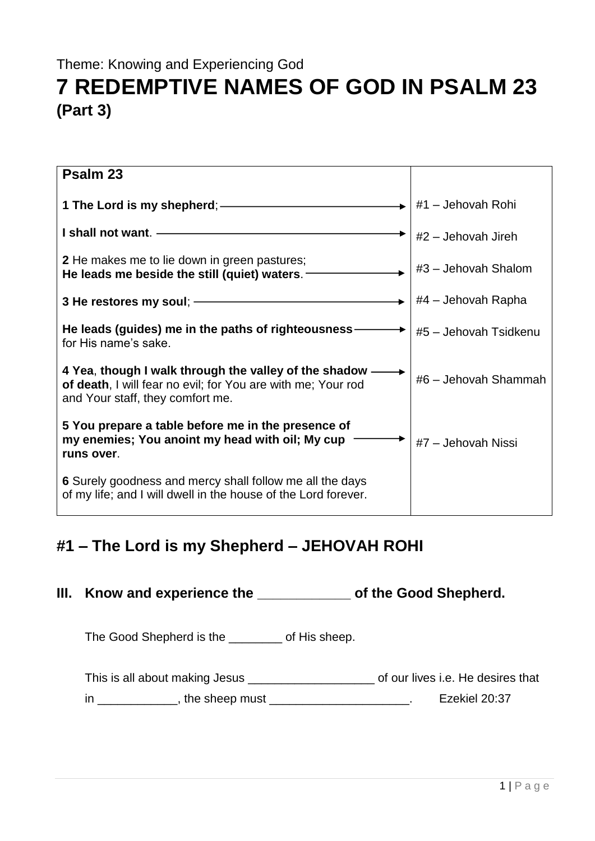# Theme: Knowing and Experiencing God **7 REDEMPTIVE NAMES OF GOD IN PSALM 23 (Part 3)**

| Psalm 23                                                                                                                                                    |                       |
|-------------------------------------------------------------------------------------------------------------------------------------------------------------|-----------------------|
|                                                                                                                                                             | #1 - Jehovah Rohi     |
| I shall not want. —                                                                                                                                         | $#2$ – Jehovah Jireh  |
| 2 He makes me to lie down in green pastures;<br>He leads me beside the still (quiet) waters. -                                                              | #3 - Jehovah Shalom   |
| 3 He restores my soul; -                                                                                                                                    | #4 – Jehovah Rapha    |
| He leads (guides) me in the paths of righteousness $-$<br>for His name's sake.                                                                              | #5 - Jehovah Tsidkenu |
| 4 Yea, though I walk through the valley of the shadow -<br>of death, I will fear no evil; for You are with me; Your rod<br>and Your staff, they comfort me. | #6 - Jehovah Shammah  |
| 5 You prepare a table before me in the presence of<br>my enemies; You anoint my head with oil; My cup<br>runs over.                                         | #7 - Jehovah Nissi    |
| 6 Surely goodness and mercy shall follow me all the days<br>of my life; and I will dwell in the house of the Lord forever.                                  |                       |

### **#1 – The Lord is my Shepherd – JEHOVAH ROHI**

**III. Know and experience the \_\_\_\_\_\_\_\_\_\_\_\_ of the Good Shepherd.**

The Good Shepherd is the \_\_\_\_\_\_\_\_ of His sheep.

This is all about making Jesus **\_\_\_\_\_\_\_\_\_\_\_\_\_\_\_\_\_\_** of our lives i.e. He desires that

in \_\_\_\_\_\_\_\_\_\_\_\_\_, the sheep must \_\_\_\_\_\_\_\_\_\_\_\_\_\_\_\_\_\_\_\_\_\_\_\_. Ezekiel 20:37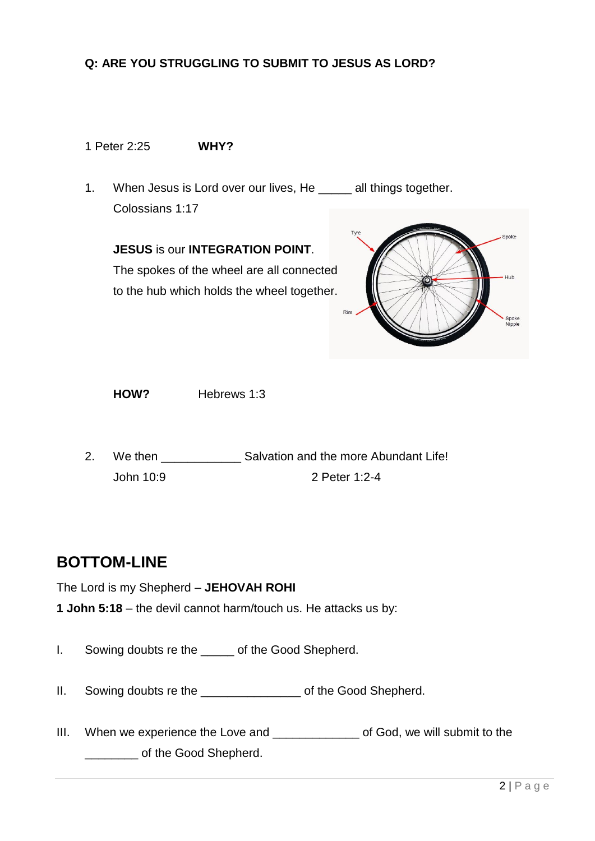#### **Q: ARE YOU STRUGGLING TO SUBMIT TO JESUS AS LORD?**

1 Peter 2:25 **WHY?**

1. When Jesus is Lord over our lives, He \_\_\_\_\_ all things together. Colossians 1:17

**JESUS** is our **INTEGRATION POINT**. The spokes of the wheel are all connected to the hub which holds the wheel together.



**HOW?** Hebrews 1:3

2. We then Salvation and the more Abundant Life! John 10:9 2 Peter 1:2-4

### **BOTTOM-LINE**

The Lord is my Shepherd – **JEHOVAH ROHI**

**1 John 5:18** – the devil cannot harm/touch us. He attacks us by:

I. Sowing doubts re the \_\_\_\_\_ of the Good Shepherd.

- II. Sowing doubts re the \_\_\_\_\_\_\_\_\_\_\_\_\_\_\_ of the Good Shepherd.
- III. When we experience the Love and \_\_\_\_\_\_\_\_\_\_\_\_\_ of God, we will submit to the of the Good Shepherd.